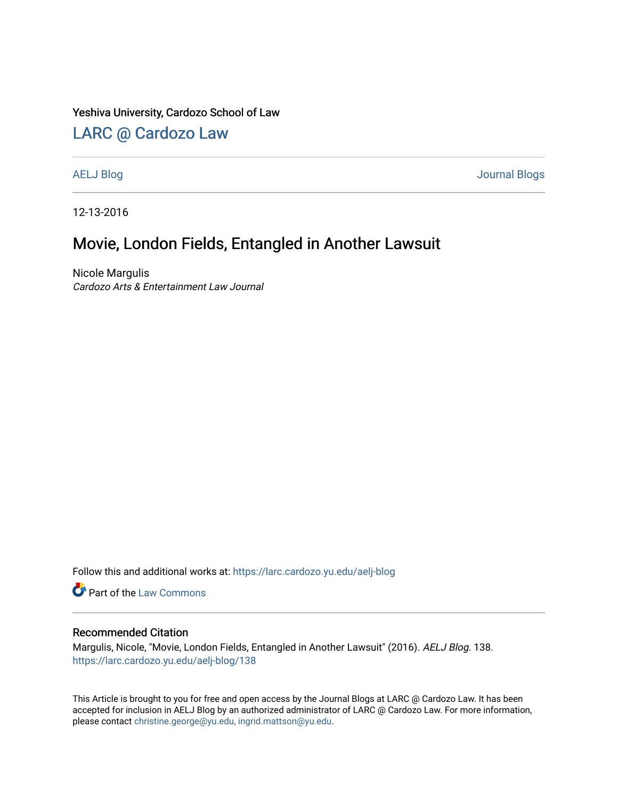#### Yeshiva University, Cardozo School of Law

## [LARC @ Cardozo Law](https://larc.cardozo.yu.edu/)

[AELJ Blog](https://larc.cardozo.yu.edu/aelj-blog) [Journal Blogs](https://larc.cardozo.yu.edu/journal-blogs) 

12-13-2016

## Movie, London Fields, Entangled in Another Lawsuit

Nicole Margulis Cardozo Arts & Entertainment Law Journal

Follow this and additional works at: [https://larc.cardozo.yu.edu/aelj-blog](https://larc.cardozo.yu.edu/aelj-blog?utm_source=larc.cardozo.yu.edu%2Faelj-blog%2F138&utm_medium=PDF&utm_campaign=PDFCoverPages) 

Part of the [Law Commons](http://network.bepress.com/hgg/discipline/578?utm_source=larc.cardozo.yu.edu%2Faelj-blog%2F138&utm_medium=PDF&utm_campaign=PDFCoverPages)

#### Recommended Citation

Margulis, Nicole, "Movie, London Fields, Entangled in Another Lawsuit" (2016). AELJ Blog. 138. [https://larc.cardozo.yu.edu/aelj-blog/138](https://larc.cardozo.yu.edu/aelj-blog/138?utm_source=larc.cardozo.yu.edu%2Faelj-blog%2F138&utm_medium=PDF&utm_campaign=PDFCoverPages) 

This Article is brought to you for free and open access by the Journal Blogs at LARC @ Cardozo Law. It has been accepted for inclusion in AELJ Blog by an authorized administrator of LARC @ Cardozo Law. For more information, please contact [christine.george@yu.edu, ingrid.mattson@yu.edu.](mailto:christine.george@yu.edu,%20ingrid.mattson@yu.edu)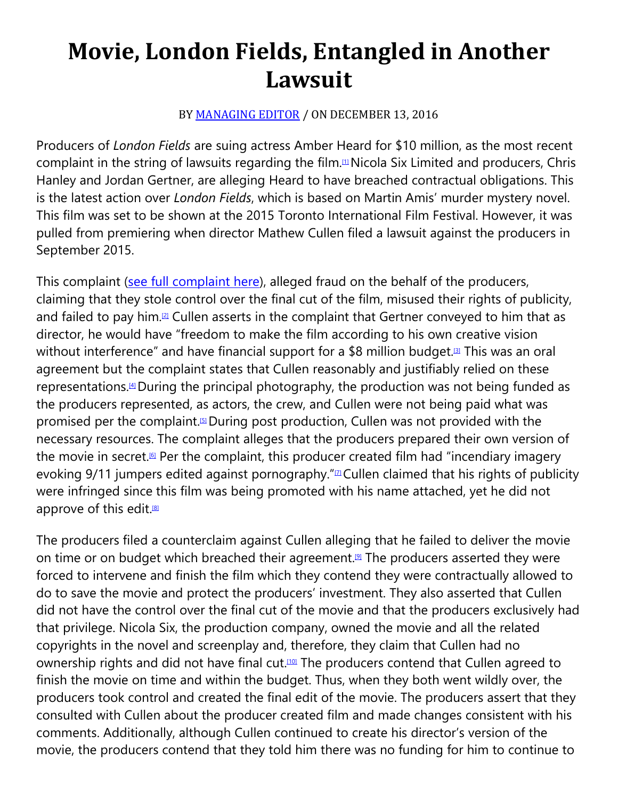# **Movie, London Fields, Entangled in Another Lawsuit**

### BY [MANAGING EDITOR](https://cardozoaelj.com/author/admin/) / ON DECEMBER 13, 2016

Producers of *London Fields* are suing actress Amber Heard for \$10 million, as the most recent complaint in the string of lawsuits regarding the film.<sup>III</sup> Nicola Six Limited and producers, Chris Hanley and Jordan Gertner, are alleging Heard to have breached contractual obligations. This is the latest action over *London Fields*, which is based on Martin Amis' murder mystery novel. This film was set to be shown at the 2015 Toronto International Film Festival. However, it was pulled from premiering when director Mathew Cullen filed a lawsuit against the producers in September 2015.

This complaint [\(see full complaint here\)](https://cardozoaelj.com/2016/12/13/movie-london-fields-entangled-another-lawsuit/Cullen_v._Hanley__No._BC59464.pdf), alleged fraud on the behalf of the producers, claiming that they stole control over the final cut of the film, misused their rights of publicity, and failed to pay him.<sup>[2]</sup> Cullen asserts in the complaint that Gertner conveyed to him that as director, he would have "freedom to make the film according to his own creative vision without interference" and have financial support for a \$8 million budget. This was an oral l agreement but the complaint states that Cullen reasonably and justifiably relied on these representations.<sup>[4]</sup> During the principal photography, the production was not being funded as the producers represented, as actors, the crew, and Cullen were not being paid what was promised per the complaint.<sup>[5]</sup> During post production, Cullen was not provided with the necessary resources. The complaint alleges that the producers prepared their own version of the movie in secret.<sup>[6]</sup> Per the complaint, this producer created film had "incendiary imagery evoking  $9/11$  jumpers edited against pornography." $\Delta$ Cullen claimed that his rights of publicity were infringed since this film was being promoted with his name attached, yet he did not approve of this edit.<sup>[8]</sup>

The producers filed a counterclaim against Cullen alleging that he failed to deliver the movie on time or on budget which breached their agreement.<sup>[9]</sup> The producers asserted they were forced to intervene and finish the film which they contend they were contractually allowed to do to save the movie and protect the producers' investment. They also asserted that Cullen did not have the control over the final cut of the movie and that the producers exclusively had that privilege. Nicola Six, the production company, owned the movie and all the related copyrights in the novel and screenplay and, therefore, they claim that Cullen had no ownership rights and did not have final cut.<sup>[10]</sup> The producers contend that Cullen agreed to finish the movie on time and within the budget. Thus, when they both went wildly over, the producers took control and created the final edit of the movie. The producers assert that they consulted with Cullen about the producer created film and made changes consistent with his comments. Additionally, although Cullen continued to create his director's version of the movie, the producers contend that they told him there was no funding for him to continue to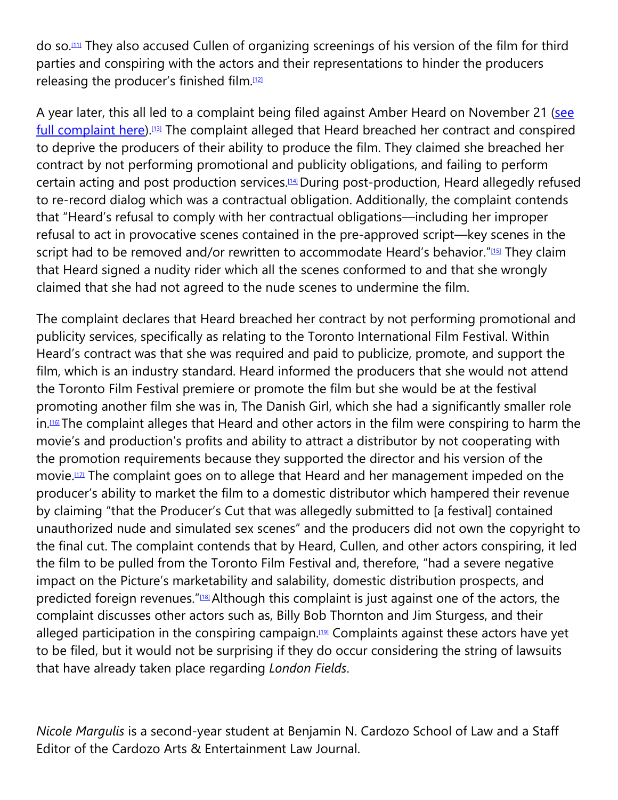do so[.\[11\]](https://cardozoaelj.com/2016/12/13/movie-london-fields-entangled-another-lawsuit/#_ftn11) They also accused Cullen of organizing screenings of his version of the film for third parties and conspiring with the actors and their representations to hinder the producers releasing the producer's finished film.<sup>[12]</sup>

A year later, this all led to a complaint being filed against Amber Heard on November 21 (see [full complaint here\)](https://cardozoaelj.com/2016/12/13/movie-london-fields-entangled-another-lawsuit/Nicola_Six_Limited_v._Amber_H.pdf).<sup>[13]</sup> The complaint alleged that Heard breached her contract and conspired to deprive the producers of their ability to produce the film. They claimed she breached her contract by not performing promotional and publicity obligations, and failing to perform certain acting and post production services.<sup>[14]</sup> During post-production, Heard allegedly refused to re-record dialog which was a contractual obligation. Additionally, the complaint contends that "Heard's refusal to comply with her contractual obligations—including her improper refusal to act in provocative scenes contained in the pre-approved script—key scenes in the script had to be removed and/or rewritten to accommodate Heard's behavior.["\[15\]](https://cardozoaelj.com/2016/12/13/movie-london-fields-entangled-another-lawsuit/#_ftn15) They claim that Heard signed a nudity rider which all the scenes conformed to and that she wrongly claimed that she had not agreed to the nude scenes to undermine the film.

The complaint declares that Heard breached her contract by not performing promotional and publicity services, specifically as relating to the Toronto International Film Festival. Within Heard's contract was that she was required and paid to publicize, promote, and support the film, which is an industry standard. Heard informed the producers that she would not attend the Toronto Film Festival premiere or promote the film but she would be at the festival promoting another film she was in, The Danish Girl, which she had a significantly smaller role in[.\[16\]T](https://cardozoaelj.com/2016/12/13/movie-london-fields-entangled-another-lawsuit/#_ftn16)he complaint alleges that Heard and other actors in the film were conspiring to harm the movie's and production's profits and ability to attract a distributor by not cooperating with the promotion requirements because they supported the director and his version of the movie.<sup>[17]</sup> The complaint goes on to allege that Heard and her management impeded on the producer's ability to market the film to a domestic distributor which hampered their revenue by claiming "that the Producer's Cut that was allegedly submitted to [a festival] contained unauthorized nude and simulated sex scenes" and the producers did not own the copyright to the final cut. The complaint contends that by Heard, Cullen, and other actors conspiring, it led the film to be pulled from the Toronto Film Festival and, therefore, "had a severe negative impact on the Picture's marketability and salability, domestic distribution prospects, and predicted foreign revenues."<sup>[18]</sup> Although this complaint is just against one of the actors, the complaint discusses other actors such as, Billy Bob Thornton and Jim Sturgess, and their alleged participation in the conspiring campaign.<sup>[19]</sup> Complaints against these actors have yet to be filed, but it would not be surprising if they do occur considering the string of lawsuits that have already taken place regarding *London Fields*.

*Nicole Margulis* is a second-year student at Benjamin N. Cardozo School of Law and a Staff Editor of the Cardozo Arts & Entertainment Law Journal.